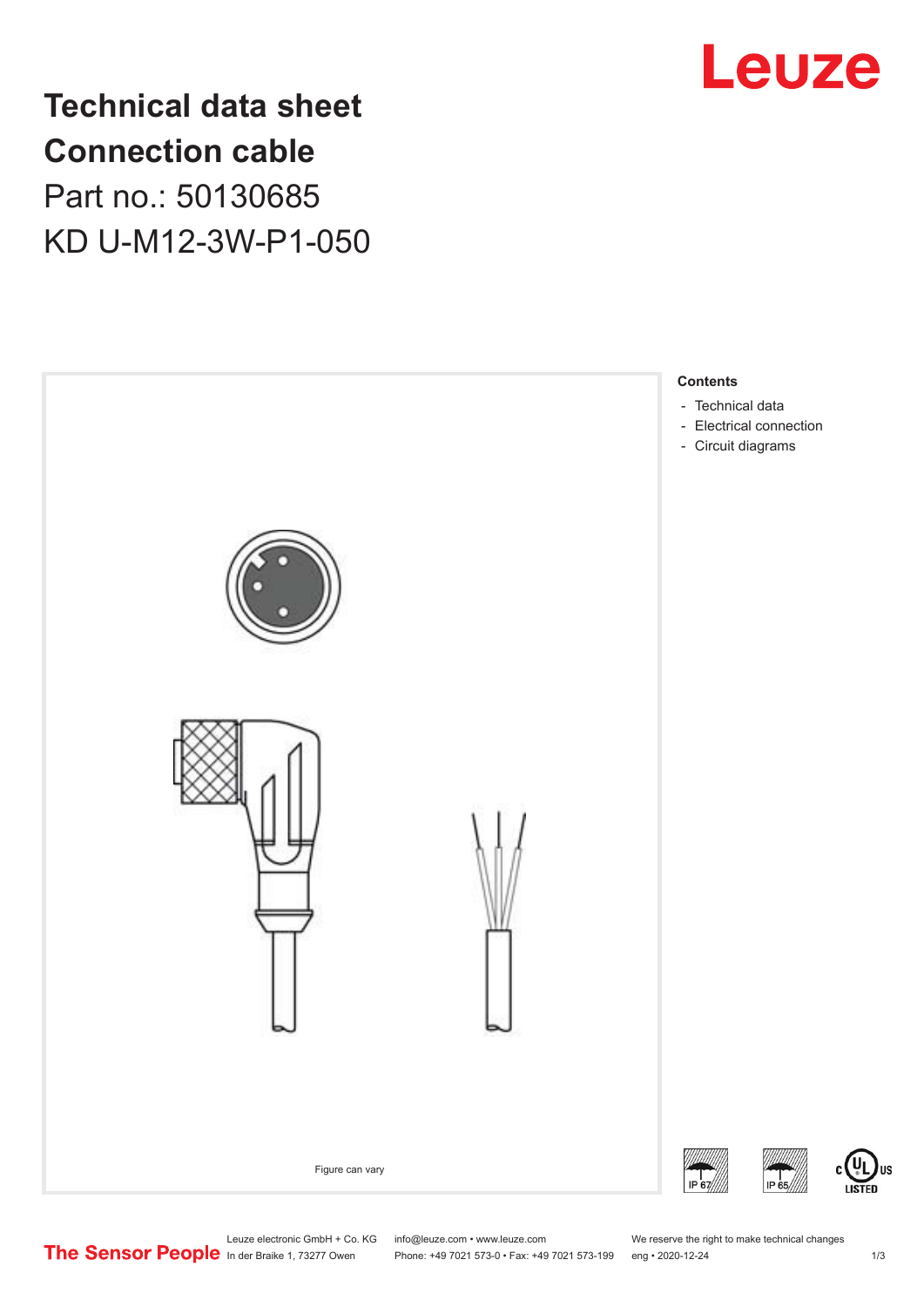

**Technical data sheet Connection cable** Part no.: 50130685 KD U-M12-3W-P1-050



US

Leuze electronic GmbH + Co. KG info@leuze.com • www.leuze.com We reserve the right to make technical changes<br>
The Sensor People in der Braike 1, 73277 Owen Phone: +49 7021 573-0 • Fax: +49 7021 573-199 eng • 2020-12-24

Phone: +49 7021 573-0 • Fax: +49 7021 573-199 eng • 2020-12-24 1 2020-12-24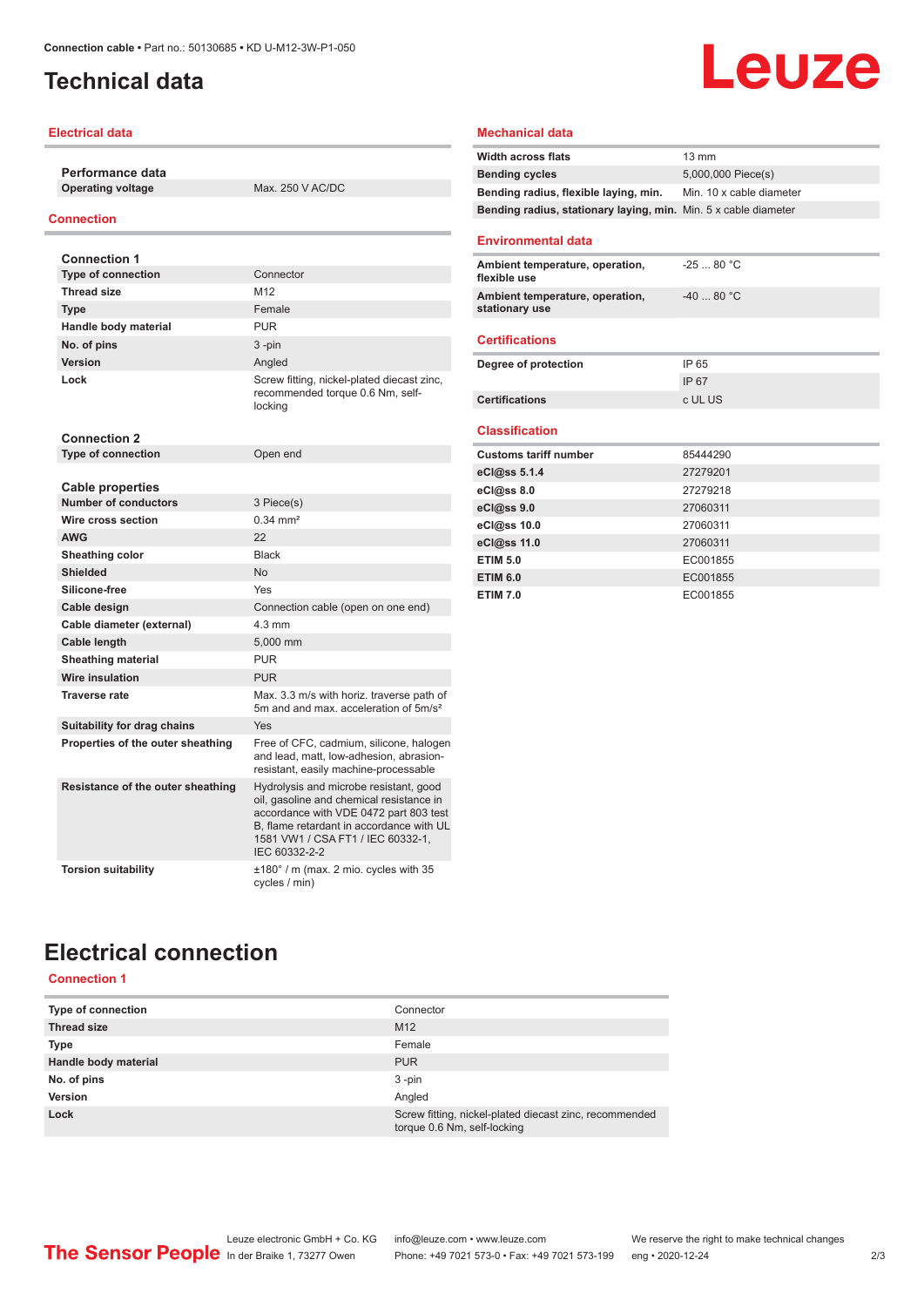## <span id="page-1-0"></span>**Technical data**

### **Electrical data**

**Performance data**

**Operating voltage** Max. 250 V AC/DC

### **Connection**

| <b>Connection 1</b>                                    |                                                                                                                                                                                                                                |
|--------------------------------------------------------|--------------------------------------------------------------------------------------------------------------------------------------------------------------------------------------------------------------------------------|
| <b>Type of connection</b>                              | Connector                                                                                                                                                                                                                      |
| <b>Thread size</b>                                     | M <sub>12</sub>                                                                                                                                                                                                                |
| <b>Type</b>                                            | Female                                                                                                                                                                                                                         |
| Handle body material                                   | <b>PUR</b>                                                                                                                                                                                                                     |
| No. of pins                                            | $3 - pin$                                                                                                                                                                                                                      |
| <b>Version</b>                                         | Angled                                                                                                                                                                                                                         |
| Lock                                                   | Screw fitting, nickel-plated diecast zinc,<br>recommended torque 0.6 Nm, self-<br>locking                                                                                                                                      |
| <b>Connection 2</b>                                    |                                                                                                                                                                                                                                |
| <b>Type of connection</b>                              | Open end                                                                                                                                                                                                                       |
|                                                        |                                                                                                                                                                                                                                |
| <b>Cable properties</b><br><b>Number of conductors</b> | 3 Piece(s)                                                                                                                                                                                                                     |
| Wire cross section                                     | $0.34 \, \text{mm}^2$                                                                                                                                                                                                          |
| <b>AWG</b>                                             | 22                                                                                                                                                                                                                             |
| Sheathing color                                        | <b>Black</b>                                                                                                                                                                                                                   |
| <b>Shielded</b>                                        | N <sub>0</sub>                                                                                                                                                                                                                 |
| Silicone-free                                          | Yes                                                                                                                                                                                                                            |
| Cable design                                           | Connection cable (open on one end)                                                                                                                                                                                             |
| Cable diameter (external)                              | $4.3 \text{ mm}$                                                                                                                                                                                                               |
| Cable length                                           | 5,000 mm                                                                                                                                                                                                                       |
| <b>Sheathing material</b>                              | <b>PUR</b>                                                                                                                                                                                                                     |
| <b>Wire insulation</b>                                 | <b>PUR</b>                                                                                                                                                                                                                     |
| <b>Traverse rate</b>                                   | Max, 3.3 m/s with horiz, traverse path of                                                                                                                                                                                      |
|                                                        | 5m and and max, acceleration of 5m/s <sup>2</sup>                                                                                                                                                                              |
| Suitability for drag chains                            | Yes                                                                                                                                                                                                                            |
| Properties of the outer sheathing                      | Free of CFC, cadmium, silicone, halogen<br>and lead, matt, low-adhesion, abrasion-<br>resistant, easily machine-processable                                                                                                    |
| Resistance of the outer sheathing                      | Hydrolysis and microbe resistant, good<br>oil, gasoline and chemical resistance in<br>accordance with VDE 0472 part 803 test<br>B, flame retardant in accordance with UL<br>1581 VW1 / CSA FT1 / IEC 60332-1.<br>IEC 60332-2-2 |
| <b>Torsion suitability</b>                             | $\pm 180^\circ$ / m (max. 2 mio. cycles with 35<br>cycles / min)                                                                                                                                                               |

#### **Mechanical data**

| <b>Width across flats</b>                                       | 13 mm                    |
|-----------------------------------------------------------------|--------------------------|
| <b>Bending cycles</b>                                           | 5,000,000 Piece(s)       |
| Bending radius, flexible laying, min.                           | Min. 10 x cable diameter |
| Bending radius, stationary laying, min. Min. 5 x cable diameter |                          |
|                                                                 |                          |
| <b>Environmental data</b>                                       |                          |
| Ambient temperature, operation,<br>flexible use                 | $-2580 °C$               |
| Ambient temperature, operation,<br>stationary use               | $-4080 °C$               |
| <b>Certifications</b>                                           |                          |
| Degree of protection                                            | IP 65                    |
|                                                                 | IP 67                    |
| Certifications                                                  | c UL US                  |
| <b>Classification</b>                                           |                          |
|                                                                 |                          |
| <b>Customs tariff number</b>                                    | 85444290<br>27279201     |
| eCl@ss 5.1.4                                                    | 27279218                 |
| eCl@ss 8.0                                                      |                          |
| eCl@ss 9.0                                                      | 27060311                 |
| eCl@ss 10.0                                                     | 27060311                 |
| eCl@ss 11.0                                                     | 27060311                 |
| <b>ETIM 5.0</b>                                                 | EC001855                 |
| <b>ETIM 6.0</b>                                                 | EC001855                 |
| <b>ETIM 7.0</b>                                                 | EC001855                 |

**Leuze** 

## **Electrical connection Connection 1**

| <b>Type of connection</b> | Connector                                                                             |
|---------------------------|---------------------------------------------------------------------------------------|
| <b>Thread size</b>        | M <sub>12</sub>                                                                       |
| <b>Type</b>               | Female                                                                                |
| Handle body material      | <b>PUR</b>                                                                            |
| No. of pins               | $3 - pin$                                                                             |
| Version                   | Angled                                                                                |
| Lock                      | Screw fitting, nickel-plated diecast zinc, recommended<br>torque 0.6 Nm, self-locking |